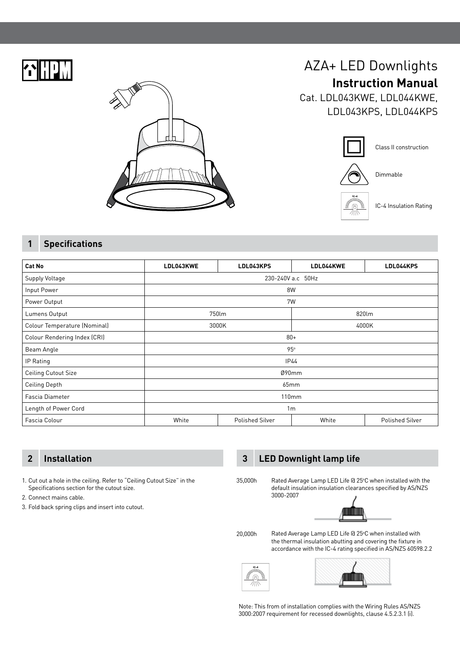



# AZA+ LED Downlights **Instruction Manual**

Cat. LDL043KWE, LDL044KWE, LDL043KPS, LDL044KPS



## **1 Specifications**

| Cat No                       | LDL043KWE         | LDL043KPS              | LDL044KWE | LDL044KPS       |  |
|------------------------------|-------------------|------------------------|-----------|-----------------|--|
| Supply Voltage               | 230-240V a.c 50Hz |                        |           |                 |  |
| Input Power                  | 8W                |                        |           |                 |  |
| Power Output                 | 7W                |                        |           |                 |  |
| Lumens Output                | 750lm             |                        |           | 820lm           |  |
| Colour Temperature (Nominal) | 3000K             |                        | 4000K     |                 |  |
| Colour Rendering Index (CRI) | $80 +$            |                        |           |                 |  |
| Beam Angle                   | 95°               |                        |           |                 |  |
| IP Rating                    | <b>IP44</b>       |                        |           |                 |  |
| <b>Ceiling Cutout Size</b>   | Ø90mm             |                        |           |                 |  |
| Ceiling Depth                | 65mm              |                        |           |                 |  |
| Fascia Diameter              | 110 <sub>mm</sub> |                        |           |                 |  |
| Length of Power Cord         | 1 <sub>m</sub>    |                        |           |                 |  |
| Fascia Colour                | White             | <b>Polished Silver</b> | White     | Polished Silver |  |

1. Cut out a hole in the ceiling. Refer to "Ceiling Cutout Size" in the Specifications section for the cutout size.

- 2. Connect mains cable.
- 3. Fold back spring clips and insert into cutout.

# **2 Installation 3 LED Downlight lamp life**

3000-2007

35,000h



Rated Average Lamp LED Life @ 25°C when installed with the default insulation insulation clearances specified by AS/NZS

Rated Average Lamp LED Life @ 25°C when installed with the thermal insulation abutting and covering the fixture in accordance with the IC-4 rating specified in AS/NZS 60598.2.2 20,000h





Note: This from of installation complies with the Wiring Rules AS/NZS 3000:2007 requirement for recessed downlights, clause 4.5.2.3.1 (i).